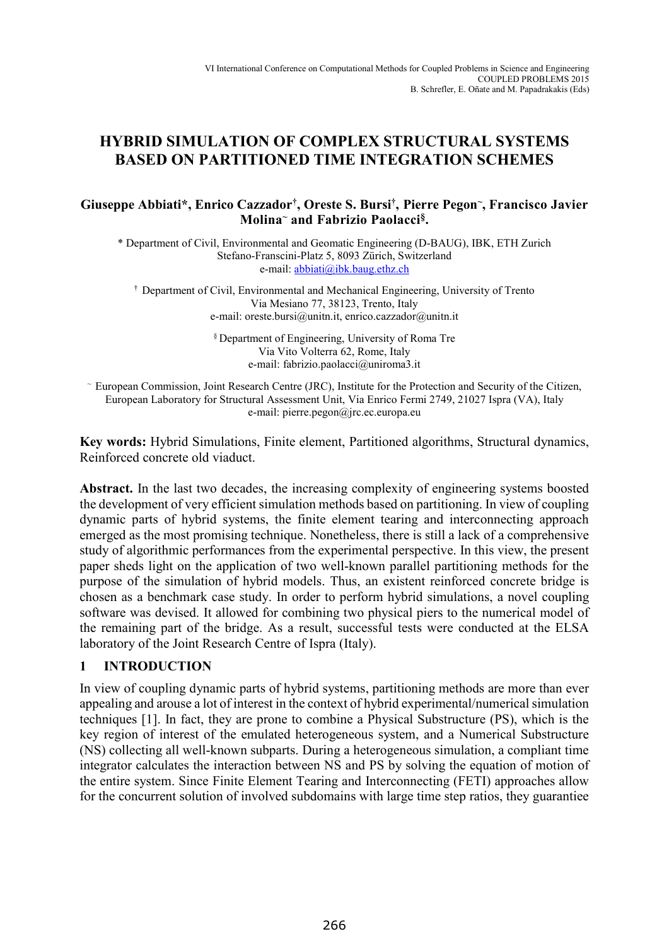# **HYBRID SIMULATION OF COMPLEX STRUCTURAL SYSTEMS BASED ON PARTITIONED TIME INTEGRATION SCHEMES**

## **Giuseppe Abbiati\*, Enrico Cazzador†, Oreste S. Bursi†, Pierre Pegon~, Francisco Javier Molina~ and Fabrizio Paolacci§.**

\* Department of Civil, Environmental and Geomatic Engineering (D-BAUG), IBK, ETH Zurich Stefano-Franscini-Platz 5, 8093 Zürich, Switzerland e-mail: abbiati@ibk.baug.ethz.ch

† Department of Civil, Environmental and Mechanical Engineering, University of Trento Via Mesiano 77, 38123, Trento, Italy e-mail: oreste.bursi@unitn.it, enrico.cazzador@unitn.it

> § Department of Engineering, University of Roma Tre Via Vito Volterra 62, Rome, Italy e-mail: fabrizio.paolacci@uniroma3.it

~ European Commission, Joint Research Centre (JRC), Institute for the Protection and Security of the Citizen, European Laboratory for Structural Assessment Unit, Via Enrico Fermi 2749, 21027 Ispra (VA), Italy e-mail: pierre.pegon@jrc.ec.europa.eu

**Key words:** Hybrid Simulations, Finite element, Partitioned algorithms, Structural dynamics, Reinforced concrete old viaduct.

Abstract. In the last two decades, the increasing complexity of engineering systems boosted the development of very efficient simulation methods based on partitioning. In view of coupling dynamic parts of hybrid systems, the finite element tearing and interconnecting approach emerged as the most promising technique. Nonetheless, there is still a lack of a comprehensive study of algorithmic performances from the experimental perspective. In this view, the present paper sheds light on the application of two well-known parallel partitioning methods for the purpose of the simulation of hybrid models. Thus, an existent reinforced concrete bridge is chosen as a benchmark case study. In order to perform hybrid simulations, a novel coupling software was devised. It allowed for combining two physical piers to the numerical model of the remaining part of the bridge. As a result, successful tests were conducted at the ELSA laboratory of the Joint Research Centre of Ispra (Italy).

## **1 INTRODUCTION**

In view of coupling dynamic parts of hybrid systems, partitioning methods are more than ever appealing and arouse a lot of interest in the context of hybrid experimental/numerical simulation techniques [1]. In fact, they are prone to combine a Physical Substructure (PS), which is the key region of interest of the emulated heterogeneous system, and a Numerical Substructure (NS) collecting all well-known subparts. During a heterogeneous simulation, a compliant time integrator calculates the interaction between NS and PS by solving the equation of motion of the entire system. Since Finite Element Tearing and Interconnecting (FETI) approaches allow for the concurrent solution of involved subdomains with large time step ratios, they guarantiee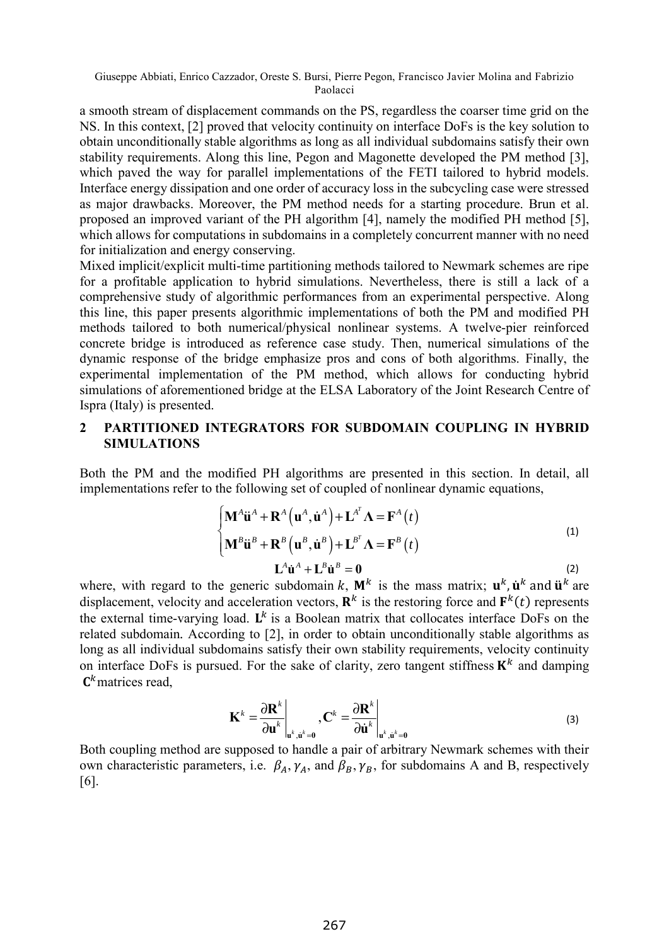a smooth stream of displacement commands on the PS, regardless the coarser time grid on the NS. In this context, [2] proved that velocity continuity on interface DoFs is the key solution to obtain unconditionally stable algorithms as long as all individual subdomains satisfy their own stability requirements. Along this line, Pegon and Magonette developed the PM method [3], which paved the way for parallel implementations of the FETI tailored to hybrid models. Interface energy dissipation and one order of accuracy loss in the subcycling case were stressed as major drawbacks. Moreover, the PM method needs for a starting procedure. Brun et al. proposed an improved variant of the PH algorithm [4], namely the modified PH method [5], which allows for computations in subdomains in a completely concurrent manner with no need for initialization and energy conserving.

Mixed implicit/explicit multi-time partitioning methods tailored to Newmark schemes are ripe for a profitable application to hybrid simulations. Nevertheless, there is still a lack of a comprehensive study of algorithmic performances from an experimental perspective. Along this line, this paper presents algorithmic implementations of both the PM and modified PH methods tailored to both numerical/physical nonlinear systems. A twelve-pier reinforced concrete bridge is introduced as reference case study. Then, numerical simulations of the dynamic response of the bridge emphasize pros and cons of both algorithms. Finally, the experimental implementation of the PM method, which allows for conducting hybrid simulations of aforementioned bridge at the ELSA Laboratory of the Joint Research Centre of Ispra (Italy) is presented.

## **2 PARTITIONED INTEGRATORS FOR SUBDOMAIN COUPLING IN HYBRID SIMULATIONS**

Both the PM and the modified PH algorithms are presented in this section. In detail, all implementations refer to the following set of coupled of nonlinear dynamic equations,

$$
\begin{cases}\n\mathbf{M}^{A}\ddot{\mathbf{u}}^{A} + \mathbf{R}^{A}(\mathbf{u}^{A}, \dot{\mathbf{u}}^{A}) + \mathbf{L}^{A^{T}}\mathbf{\Lambda} = \mathbf{F}^{A}(t) \\
\mathbf{M}^{B}\ddot{\mathbf{u}}^{B} + \mathbf{R}^{B}(\mathbf{u}^{B}, \dot{\mathbf{u}}^{B}) + \mathbf{L}^{B^{T}}\mathbf{\Lambda} = \mathbf{F}^{B}(t) \\
\mathbf{L}^{A}\dot{\mathbf{u}}^{A} + \mathbf{L}^{B}\dot{\mathbf{u}}^{B} = \mathbf{0}\n\end{cases}
$$
\n(1)

where, with regard to the generic subdomain k,  $M^k$  is the mass matrix;  $\mathbf{u}^k$ ,  $\mathbf{u}^k$  and  $\mathbf{u}^k$  are displacement, velocity and acceleration vectors,  $\mathbf{R}^k$  is the restoring force and  $\mathbf{F}^k(t)$  represents the external time-varying load.  $\mathbf{L}^k$  is a Boolean matrix that collocates interface DoFs on the related subdomain*.* According to [2], in order to obtain unconditionally stable algorithms as long as all individual subdomains satisfy their own stability requirements, velocity continuity on interface DoFs is pursued. For the sake of clarity, zero tangent stiffness  $K^k$  and damping  $\mathbf{C}^k$  matrices read,

$$
\mathbf{K}^{k} = \frac{\partial \mathbf{R}^{k}}{\partial \mathbf{u}^{k}}\bigg|_{\mathbf{u}^{k}, \dot{\mathbf{u}}^{k} = \mathbf{0}}, \mathbf{C}^{k} = \frac{\partial \mathbf{R}^{k}}{\partial \dot{\mathbf{u}}^{k}}\bigg|_{\mathbf{u}^{k}, \dot{\mathbf{u}}^{k} = \mathbf{0}}
$$
(3)

Both coupling method are supposed to handle a pair of arbitrary Newmark schemes with their own characteristic parameters, i.e.  $\beta_A$ ,  $\gamma_A$ , and  $\beta_B$ ,  $\gamma_B$ , for subdomains A and B, respectively [6].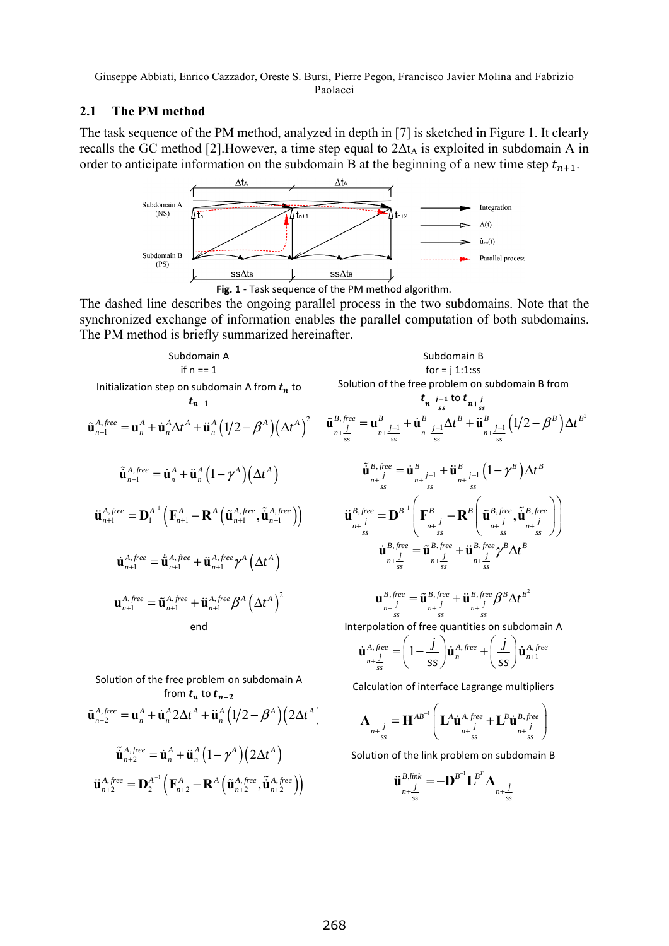Paolacci

## **2.1 The PM method**

The task sequence of the PM method, analyzed in depth in [7] is sketched in Figure 1. It clearly recalls the GC method [2]. However, a time step equal to  $2\Delta t_A$  is exploited in subdomain A in order to anticipate information on the subdomain B at the beginning of a new time step  $t_{n+1}$ .



The dashed line describes the ongoing parallel process in the two subdomains. Note that the synchronized exchange of information enables the parallel computation of both subdomains. The PM method is briefly summarized hereinafter.

Subdomain A  
\nif n == 1  
\nInitialization step on subdomain A from 
$$
t_n
$$
 to  
\n $t_{n+1}$   
\n $t_{n+1}$   
\n $t_{n+1}$   
\n $t_{n+1}$   
\n $t_{n+1}$   
\n $t_{n+1}$   
\n $t_{n+1}$   
\n $t_{n+1}$   
\n $t_{n+1}$   
\n $t_{n+1}$   
\n $t_{n+1}$   
\n $t_{n+1}$   
\n $t_{n+1}$   
\n $t_{n+1}$   
\n $t_{n+1}$   
\n $t_{n+1}$   
\n $t_{n+1}$   
\n $t_{n+1}$   
\n $t_{n+1}$   
\n $t_{n+1}$   
\n $t_{n+1}$   
\n $t_{n+1}$   
\n $t_{n+1}$   
\n $t_{n+1}$   
\n $t_{n+1}$   
\n $t_{n+1}$   
\n $t_{n+1}$   
\n $t_{n+1}$   
\n $t_{n+1}$   
\n $t_{n+1}$   
\n $t_{n+1}$   
\n $t_{n+1}$   
\n $t_{n+1}$   
\n $t_{n+1}$   
\n $t_{n+1}$   
\n $t_{n+1}$   
\n $t_{n+1}$   
\n $t_{n+1}$   
\n $t_{n+1}$   
\n $t_{n+1}$   
\n $t_{n+1}$   
\n $t_{n+1}$   
\n $t_{n+1}$   
\n $t_{n+1}$   
\n $t_{n+1}$   
\n $t_{n+1}$   
\n $t_{n+1}$   
\n $t_{n+1}$   
\n $t_{n+1}$   
\n $t_{n+1}$   
\n $t_{n+1}$   
\n $t_{n+1}$   
\n $t_{n+1}$   
\n $t_{n+1}$   
\n $t_{n+1}$   
\n $t_{n+1}$   
\n $t_{n$ 

Solution of the free problem on subdomain A from  $t_n$  to  $t_{n+2}$ 

$$
\tilde{\mathbf{u}}_{n+2}^{A,free} = \mathbf{u}_n^A + \dot{\mathbf{u}}_n^A 2\Delta t^A + \ddot{\mathbf{u}}_n^A \left(1/2 - \beta^A\right) \left(2\Delta t^A\right)
$$
\n
$$
\tilde{\mathbf{u}}_{n+2}^{A,free} = \dot{\mathbf{u}}_n^A + \ddot{\mathbf{u}}_n^A \left(1 - \gamma^A\right) \left(2\Delta t^A\right)
$$
\n
$$
\tilde{\mathbf{u}}_{n+2}^{A,free} = \mathbf{D}_2^{A^{-1}} \left(\mathbf{F}_{n+2}^A - \mathbf{R}^A \left(\tilde{\mathbf{u}}_{n+2}^{A,free}, \tilde{\mathbf{u}}_{n+2}^{A,free}\right)\right)
$$
\n
$$
\mathbf{u}_{n+2}^{A,free} = \mathbf{D}_2^{A^{-1}} \left(\mathbf{F}_{n+2}^A - \mathbf{R}^A \left(\tilde{\mathbf{u}}_{n+2}^{A,free}, \tilde{\mathbf{u}}_{n+2}^{A,free}\right)\right)
$$
\n
$$
\mathbf{u}_{n+2}^{B,line}
$$
\n
$$
\mathbf{u}_{n+2}^{B,line}
$$
\n
$$
\mathbf{u}_{n+2}^{B,free} = \mathbf{D}^{A^{-1}} \left(\mathbf{F}_{n+2}^A - \mathbf{R}^A \left(\tilde{\mathbf{u}}_{n+2}^{A,free}, \tilde{\mathbf{u}}_{n+2}^{A,free}\right)\right)
$$
\n
$$
\mathbf{u}_{n+2}^{B,link} = -\mathbf{D}^{B^{-1}} \mathbf{L}^{B^T} \mathbf{\Lambda}_{n+2}^{-B}
$$

Subdomain A  
\nif n == 1  
\nInitialization step on subdomain A from 
$$
t_n
$$
 to  
\n $t_{n+1}$   
\n $\tilde{u}_{n+1}^{A,free} = u_n^A + \dot{u}_n^A \Delta t^A + \ddot{u}_n^A (1/2 - \beta^A) (\Delta t^A)$   
\n $\tilde{u}_{n+1}^{A,free} = \dot{u}_n^A + \dot{u}_n^A (\tilde{u}_{n+1}^{A} - \tilde{u}_n^A)(\Delta t^A)$   
\n $\tilde{u}_{n+1}^{A,free} = \dot{u}_n^A + \ddot{u}_n^A (\tilde{u}_{n+1}^{A} - \tilde{u}_n^A)(\Delta t^A)$   
\n $\tilde{u}_{n+1}^{A,free} = \dot{u}_n^A + \ddot{u}_n^A (\tilde{u}_{n+1}^{A} - \tilde{u}_n^A)(\Delta t^A)$   
\n $\tilde{u}_{n+1}^{B,free} = \tilde{u}_{n+1}^{A,free} + \ddot{u}_n^A f_{n+1}^{B,free} \tilde{u}_{n+1}^{A} - \tilde{u}_n^A \Delta t^B + \ddot{u}_{n+1}^{B} \Delta t^B + \ddot{u}_{n+1}^{B} \Delta t^B$   
\n $\tilde{u}_{n+1}^{A,free} = D_1^{A^{-1}} (F_{n+1}^A - R^A (\tilde{u}_{n+1}^{A,free}, \tilde{u}_{n+1}^{A,free}))$   
\n $\tilde{u}_{n+1}^{B,free} = \ddot{u}_{n+1}^{A,free} + \ddot{u}_{n+1}^{A,free} \gamma^A (\Delta t^A)$   
\n $\tilde{u}_{n+1}^{B,free} = \ddot{u}_{n+1}^{A,free} + \ddot{u}_{n+1}^{A,free} \gamma^A (\Delta t^A)$   
\n $\tilde{u}_{n+1}^{B,free} = \ddot{u}_{n+1}^{A,free} + \ddot{u}_{n+1}^{A,free} \beta^A (\Delta t^A)$   
\n $\tilde{u}_{n+1}^{A,free} = \ddot{u}_{n+1}^{A,free} + \ddot{u}_{n+1}^{A,free$ 

Calculation of interface Lagrange multipliers

$$
\Lambda_{n+\frac{j}{ss}} = \mathbf{H}^{AB^{-1}} \Bigg( \mathbf{L}^A \dot{\mathbf{u}}^{A,free}_{n+\frac{j}{ss}} + \mathbf{L}^B \dot{\mathbf{u}}^{B,free}_{n+\frac{j}{ss}} \Bigg)
$$

Solution of the link problem on subdomain B

$$
\ddot{\mathbf{u}}_{\substack{n+j \ s s}}^{B,link} = -\mathbf{D}^{B^{-1}}\mathbf{L}^{B^{T}}\mathbf{\Lambda}_{\substack{n+j \ s s}}
$$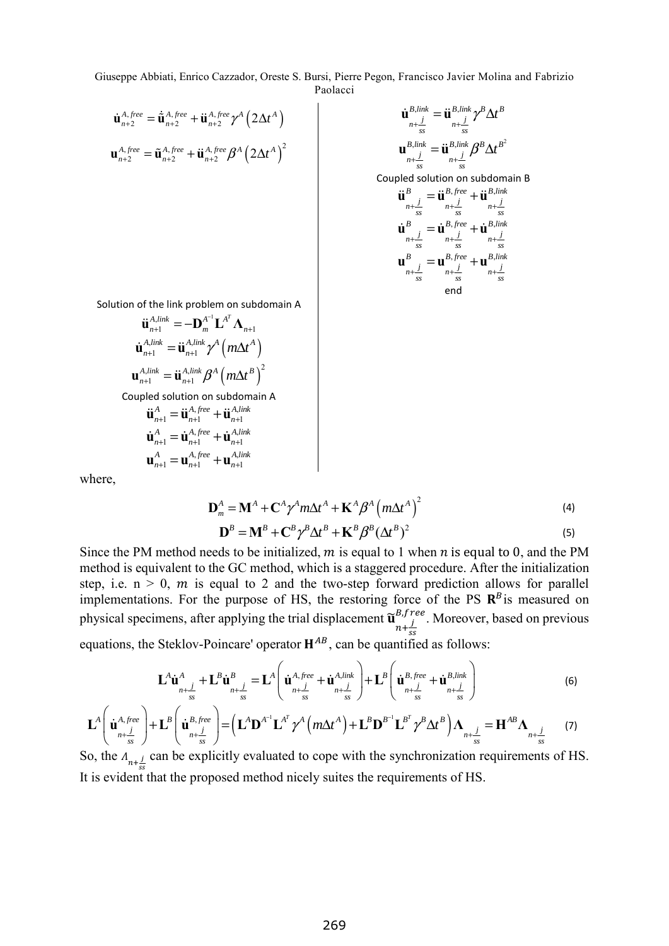$$
\dot{\mathbf{u}}_{n+2}^{A,free} = \dot{\tilde{\mathbf{u}}}_{n+2}^{A,free} + \ddot{\mathbf{u}}_{n+2}^{A,free} \gamma^A \left(2\Delta t^A\right)
$$
\n
$$
\mathbf{u}_{n+2}^{A,free} = \tilde{\mathbf{u}}_{n+2}^{A,free} + \ddot{\mathbf{u}}_{n+2}^{A,free} \beta^A \left(2\Delta t^A\right)^2
$$
\n
$$
\mathbf{u}_{n+2}^{B,link} = \ddot{\mathbf{u}}_{n+1}^{B,link} \beta^B \Delta t^B
$$
\n
$$
\mathbf{u}_{n+2}^{B,link} = \ddot{\mathbf{u}}_{n+1}^{B,link} \beta^B \Delta t^B
$$

 $B$ *, link*  $\rightarrow$   $B$ *, link*  $\beta B \wedge A B^2$  $\mathbf{u}^{B,\text{link}}_{n+\frac{j}{ss}} = \ddot{\mathbf{u}}^{B,\text{link}}_{n+\frac{j}{ss}} \beta^B \Delta t$ Coupled solution on subdomain B  $B = \mathbf{B} \cdot B$ , free  $\mathbf{B} \cdot B$ , link  $\sum_{n+\frac{j}{ss}}$  **u**<sub>n+</sub>**j u**<sub>n+</sub>**j**<sub>ss</sub>  $\ddot{\mathbf{u}}_{n+\underline{j}}^{B} = \ddot{\mathbf{u}}_{n+\underline{j}}^{B,free} + \ddot{\mathbf{u}}_{n+\underline{j}}^{B,}$  $B = \mathcal{B}, \text{free} \rightarrow B, \text{link}$  $\dot{\mathbf{u}}_{n+\frac{j}{ss}}^{B} = \dot{\mathbf{u}}_{n+\frac{j}{ss}}^{B,tree} + \dot{\mathbf{u}}_{n+\frac{j}{ss}}^{B,lin}$  $B = \mathbf{B}, \text{free} \in B, \text{link}$  $\mathbf{u}_{n+\frac{j}{ss}}^B = \mathbf{u}_{n+\frac{j}{ss}}^{B, \text{free}} + \mathbf{u}_{n+\frac{j}{ss}}^{B, \text{lim}}$ end

Solution of the link problem on subdomain A

$$
\ddot{\mathbf{u}}_{n+1}^{A,link} = -\mathbf{D}_{m}^{A^{-1}} \mathbf{L}^{A^{T}} \mathbf{\Lambda}_{n+1}
$$
\n
$$
\dot{\mathbf{u}}_{n+1}^{A,link} = \ddot{\mathbf{u}}_{n+1}^{A,link} \gamma^{A} \left( m \Delta t^{A} \right)
$$
\n
$$
\mathbf{u}_{n+1}^{A,link} = \ddot{\mathbf{u}}_{n+1}^{A,link} \beta^{A} \left( m \Delta t^{B} \right)^{2}
$$
\ncoupled solution on subdomain A

\n
$$
\ddot{\mathbf{u}}_{n+1}^{A} = \ddot{\mathbf{u}}_{n+1}^{A,free} + \ddot{\mathbf{u}}_{n+1}^{A,link}
$$
\n
$$
\dot{\mathbf{u}}_{n+1}^{A} = \dot{\mathbf{u}}_{n+1}^{A,free} + \dot{\mathbf{u}}_{n+1}^{A,link}
$$
\n
$$
\mathbf{u}_{n+1}^{A} = \mathbf{u}_{n+1}^{A,free} + \mathbf{u}_{n+1}^{A,link}
$$

where,

$$
\mathbf{D}_m^A = \mathbf{M}^A + \mathbf{C}^A \gamma^A m \Delta t^A + \mathbf{K}^A \beta^A \left( m \Delta t^A \right)^2 \tag{4}
$$

$$
\mathbf{D}^{B} = \mathbf{M}^{B} + \mathbf{C}^{B} \gamma^{B} \Delta t^{B} + \mathbf{K}^{B} \beta^{B} (\Delta t^{B})^{2}
$$
\n(5)

Since the PM method needs to be initialized, m is equal to 1 when n is equal to 0, and the PM method is equivalent to the GC method, which is a staggered procedure. After the initialization step, i.e.  $n > 0$ , m is equal to 2 and the two-step forward prediction allows for parallel implementations. For the purpose of HS, the restoring force of the PS  $\mathbb{R}^B$  is measured on physical specimens, after applying the trial displacement  $\widetilde{\mathbf{u}}_{n+\frac{j}{ss}}^{B, U}$  $^{B,free}_{i}$ . Moreover, based on previous equations, the Steklov-Poincare' operator  $H^{AB}$ , can be quantified as follows:

$$
\mathbf{L}^{A}\dot{\mathbf{u}}^{A}_{n+\underline{j}} + \mathbf{L}^{B}\dot{\mathbf{u}}^{B}_{n+\underline{j}} = \mathbf{L}^{A}\left(\dot{\mathbf{u}}^{A,free}_{n+\underline{j}} + \dot{\mathbf{u}}^{A,link}_{n+\underline{j}}\right) + \mathbf{L}^{B}\left(\dot{\mathbf{u}}^{B,free}_{n+\underline{j}} + \dot{\mathbf{u}}^{B,link}_{n+\underline{j}}\right)
$$
(6)

$$
\mathbf{L}^{A}\left(\dot{\mathbf{u}}_{n+\frac{j}{ss}}^{A,free}\right)+\mathbf{L}^{B}\left(\dot{\mathbf{u}}_{n+\frac{j}{ss}}^{B,free}\right)=\left(\mathbf{L}^{A}\mathbf{D}^{A^{-1}}\mathbf{L}^{A^{T}}\gamma^{A}\left(m\Delta t^{A}\right)+\mathbf{L}^{B}\mathbf{D}^{B^{-1}}\mathbf{L}^{B^{T}}\gamma^{B}\Delta t^{B}\right)\Lambda_{n+\frac{j}{ss}}=\mathbf{H}^{AB}\Lambda_{n+\frac{j}{ss}}
$$
(7)

So, the  $A_{n+\frac{j}{ss}}$  can be explicitly evaluated to cope with the synchronization requirements of HS. It is evident that the proposed method nicely suites the requirements of HS.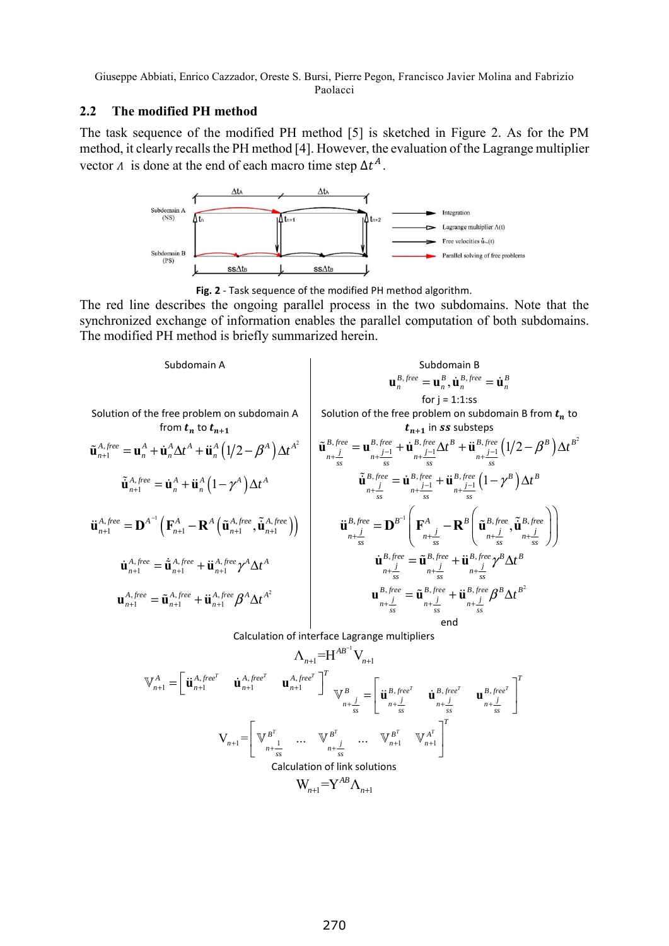Paolacci

## **2.2 The modified PH method**

The task sequence of the modified PH method [5] is sketched in Figure 2. As for the PM method, it clearly recalls the PH method [4]. However, the evaluation of the Lagrange multiplier vector  $\Lambda$  is done at the end of each macro time step  $\Delta t^A$ .



**Fig. 2** - Task sequence of the modified PH method algorithm.

The red line describes the ongoing parallel process in the two subdomains. Note that the synchronized exchange of information enables the parallel computation of both subdomains. The modified PH method is briefly summarized herein.

Subdomain A  
\nSolution of the free problem on subdomain A  
\nfrom 
$$
\mathbf{t}_n
$$
 to  $\mathbf{t}_{n+1}$   
\n $\tilde{\mathbf{u}}_{n+1}^{A,free} = \mathbf{u}_n^A + \dot{\mathbf{u}}_n^A \Delta t^A + \ddot{\mathbf{u}}_n^A (1/2 - \beta^A) \Delta t^A$   
\n $\tilde{\mathbf{u}}_{n+1}^{A,free} = \mathbf{u}_n^A + \ddot{\mathbf{u}}_n^A \Delta t^A + \ddot{\mathbf{u}}_n^A (1/2 - \beta^A) \Delta t^A$   
\n $\tilde{\mathbf{u}}_{n+1}^{B,free} = \mathbf{u}_n^A + \ddot{\mathbf{u}}_n^A \Delta t^A + \ddot{\mathbf{u}}_n^A (1/2 - \beta^A) \Delta t^A$   
\n $\tilde{\mathbf{u}}_{n+1}^{B,free} = \mathbf{u}_n^A + \ddot{\mathbf{u}}_n^A (1 - \gamma^A) \Delta t^A$   
\n $\tilde{\mathbf{u}}_{n+1}^{B,free} = \mathbf{u}_n^A + \ddot{\mathbf{u}}_n^A (1 - \gamma^A) \Delta t^A$   
\n $\tilde{\mathbf{u}}_{n+1}^{B,free} = \mathbf{u}_n^B, \ddot{f}_{n+1}^{B,free} = \ddot{\mathbf{u}}_{n+1}^{B,free} + \ddot{\mathbf{u}}_{n+1}^{B,free} (1 - \gamma^B) \Delta t^B$   
\n $\tilde{\mathbf{u}}_{n+1}^{B,free} = \mathbf{D}^{B^{-1}} \left( \mathbf{F}_{n+1}^A - \mathbf{R}^A \left( \tilde{\mathbf{u}}_{n+1}^{A,free}, \tilde{\mathbf{u}}_{n+1}^{A,free} \right) \right)$   
\n $\tilde{\mathbf{u}}_{n+1}^{B,free} = \tilde{\mathbf{u}}_{n+1}^{B,free} + \ddot{\mathbf{u}}_{n+1}^{B,free} + \ddot{\mathbf{u}}_{n+1}^{B,free} \gamma^B \Delta t^B$   
\n $\mathbf{u}_{n+1}^{A,free} = \tilde{\math$ 

Calculation of interface Lagrange multipliers

$$
\mathbf{V}_{n+1} = \begin{bmatrix} \mathbf{u}_{n+1}^{A, free^T} & \mathbf{u}_{n+1}^{A, free^T} & \mathbf{u}_{n+1}^{A, free^T} \end{bmatrix}^T_{\mathbf{V}_{n+1}^B} = \begin{bmatrix} \mathbf{u}_{n+1}^{B, free^T} & \mathbf{u}_{n+1}^{B, free^T} & \mathbf{u}_{n+1}^{B, free^T} & \mathbf{u}_{n+1}^{B, free^T} \end{bmatrix}^T
$$

$$
\mathbf{V}_{n+1} = \begin{bmatrix} \nabla P^T & \cdots & \nabla P^T & \cdots & \nabla P^T & \mathbf{u}_{n+1} & \nabla P^T & \mathbf{u}_{n+1} \end{bmatrix}^T
$$

$$
\mathbf{Calculation of link solutions}
$$

$$
\mathbf{W}_{n+1} = \mathbf{Y}^{AB} \Lambda_{n+1}
$$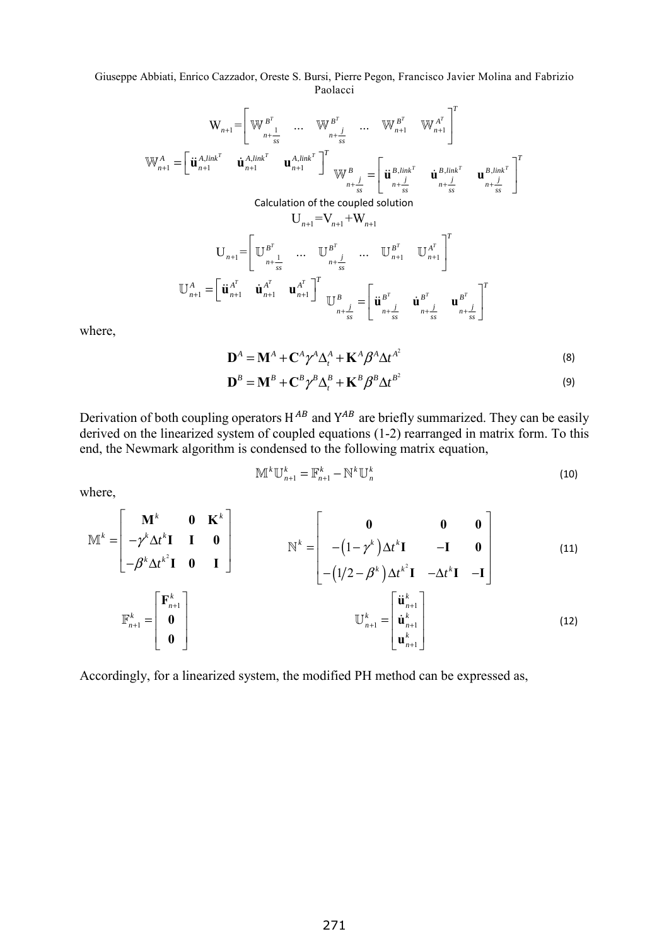$$
\mathbf{W}_{n+1} = \begin{bmatrix} \mathbf{W}_{n+1}^{B^T} & \cdots & \mathbf{W}_{n+1}^{B^T} & \mathbf{W}_{n+1}^{A^T} & \mathbf{W}_{n+1}^{A^T} \end{bmatrix}^T
$$
\n
$$
\mathbf{W}_{n+1}^{A} = \begin{bmatrix} \mathbf{u}_{n+1}^{A,link^{T}} & \mathbf{u}_{n+1}^{A,link^{T}} & \mathbf{u}_{n+1}^{A,link^{T}} \end{bmatrix}^T
$$
\nCalculation of the coupled solution

\n
$$
\mathbf{U}_{n+1} = \begin{bmatrix} \mathbf{u}_{n+1}^{B,link^{T}} & \mathbf{u}_{n+1}^{B,link^{T}} & \mathbf{u}_{n+1}^{B,link^{T}} & \mathbf{u}_{n+1}^{B,link^{T}} \end{bmatrix}^T
$$
\n
$$
\mathbf{U}_{n+1} = \begin{bmatrix} \mathbf{U}_{n+1}^{B^T} & \cdots & \mathbf{U}_{n+1}^{B^T} & \cdots & \mathbf{U}_{n+1}^{B^T} & \mathbf{U}_{n+1}^{A^T} \end{bmatrix}^T
$$
\n
$$
\mathbf{U}_{n+1} = \begin{bmatrix} \mathbf{u}_{n+1}^{A^T} & \mathbf{u}_{n+1}^{A^T} & \mathbf{u}_{n+1}^{A^T} \end{bmatrix}^T
$$
\n
$$
\mathbf{U}_{n+1}^{A} = \begin{bmatrix} \mathbf{u}_{n+1}^{A^T} & \mathbf{u}_{n+1}^{A^T} & \mathbf{u}_{n+1}^{A^T} \end{bmatrix}^T
$$
\n
$$
\mathbf{U}_{n+1}^{B} = \begin{bmatrix} \mathbf{u}_{n+1}^{B^T} & \mathbf{u}_{n+1}^{B^T} & \mathbf{u}_{n+1}^{B^T} & \mathbf{u}_{n+1}^{B^T} \end{bmatrix}^T
$$
\n
$$
\mathbf{U}_{n+1}^{A^T} = \begin{bmatrix} \mathbf{u}_{n+1}^{A^T} & \mathbf{u}_{n+1}^{A^T} & \mathbf{u}_{n+1}^{A^T} \end{bmatrix}^T
$$
\n<

where,

$$
\mathbf{D}^{A} = \mathbf{M}^{A} + \mathbf{C}^{A} \gamma^{A} \Delta_{t}^{A} + \mathbf{K}^{A} \beta^{A} \Delta t^{A^{2}}
$$
\n(8)

$$
\mathbf{D}^{B} = \mathbf{M}^{B} + \mathbf{C}^{B} \gamma^{B} \Delta_{t}^{B} + \mathbf{K}^{B} \beta^{B} \Delta t^{B^{2}}
$$
\n(9)

Derivation of both coupling operators  $H^{AB}$  and  $Y^{AB}$  are briefly summarized. They can be easily derived on the linearized system of coupled equations (1-2) rearranged in matrix form. To this end, the Newmark algorithm is condensed to the following matrix equation,

$$
\mathbb{M}^k \mathbb{U}_{n+1}^k = \mathbb{F}_{n+1}^k - \mathbb{N}^k \mathbb{U}_n^k
$$
\n(10)

where,

$$
\mathbb{M}^{k} = \begin{bmatrix} \mathbf{M}^{k} & \mathbf{0} & \mathbf{K}^{k} \\ -\gamma^{k} \Delta t^{k} \mathbf{I} & \mathbf{I} & \mathbf{0} \\ -\beta^{k} \Delta t^{k^{2}} \mathbf{I} & \mathbf{0} & \mathbf{I} \end{bmatrix} \qquad \mathbb{N}^{k} = \begin{bmatrix} \mathbf{0} & \mathbf{0} & \mathbf{0} \\ -\left(1-\gamma^{k}\right) \Delta t^{k} \mathbf{I} & -\mathbf{I} & \mathbf{0} \\ -\left(1/2 - \beta^{k}\right) \Delta t^{k^{2}} \mathbf{I} & -\Delta t^{k} \mathbf{I} & -\mathbf{I} \end{bmatrix}
$$
(11)  

$$
\mathbb{F}_{n+1}^{k} = \begin{bmatrix} \mathbf{F}_{n+1}^{k} \\ \mathbf{0} \\ \mathbf{0} \end{bmatrix} \qquad \qquad \mathbb{U}_{n+1}^{k} = \begin{bmatrix} \mathbf{u}_{n+1}^{k} \\ \mathbf{u}_{n+1}^{k} \\ \mathbf{u}_{n+1}^{k} \end{bmatrix}
$$
(12)

Accordingly, for a linearized system, the modified PH method can be expressed as,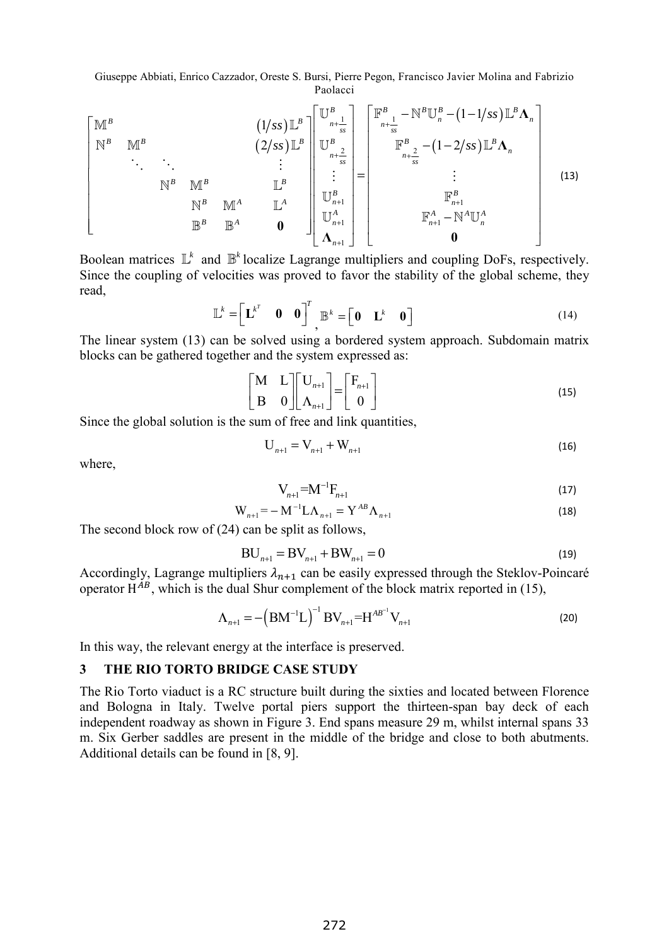$$
\begin{bmatrix}\nM^B & & & & & & & \\
N^B & \mathbb{M}^B & & & & & \\
& \ddots & \ddots & & & & \\
& & & \mathbb{N}^B & \mathbb{M}^B & & \\
& & & & \mathbb{E}^B & \mathbb{E}^A & \\
& & & & \mathbb{E}^B & \mathbb{E}^A & \\
& & & & \mathbb{E}^B & \mathbb{E}^A & \\
& & & & \mathbb{E}^B & \mathbb{E}^A & \\
& & & & \mathbb{E}^B & \mathbb{E}^A & \\
& & & & \mathbb{E}^B & \mathbb{E}^A & \\
& & & & \mathbb{E}^B & \mathbb{E}^A & \\
& & & & \mathbb{E}^B & \mathbb{E}^A & \\
& & & & \mathbb{E}^B & \mathbb{E}^A & \\
& & & & \mathbb{E}^B & \mathbb{E}^A & \\
& & & & \mathbb{E}^B & \mathbb{E}^A & \\
& & & & \mathbb{E}^B & \mathbb{E}^A & \\
& & & & \mathbb{E}^B & \mathbb{E}^A & \\
& & & & \mathbb{E}^A & \mathbb{E}^A & \\
& & & & & \mathbb{E}^A & \mathbb{E}^A \\
& & & & & \mathbb{E}^A & \mathbb{E}^A & \\
& & & & & \mathbb{E}^A & \mathbb{E}^A & \\
& & & & & \mathbb{E}^A & \mathbb{E}^A & \\
& & & & & \mathbb{E}^A & \mathbb{E}^A & \\
& & & & & \mathbb{E}^A & \mathbb{E}^A & \\
& & & & & \mathbb{E}^A & \mathbb{E}^A & \\
& & & & & \mathbb{E}^A & \mathbb{E}^A & \\
& & & & & \mathbb{E}^A & \mathbb{E}^A & \\
& & & & & \mathbb{E}^A & \mathbb{E}^A & \\
& & & & & \mathbb{E}^A & \mathbb{E}^A & \\
& & & & & \mathbb{E}^A & \mathbb{E}^A & \\
& & & & & \mathbb{E}^A & \mathbb{E}^A & \\
& & & & & \mathbb{E}^A & \mathbb{E}^A & \\
& & & & & \mathbb{E}^A & \mathbb{E}^A & \\
& & & & & \math
$$

Boolean matrices  $\mathbb{L}^k$  and  $\mathbb{B}^k$  localize Lagrange multipliers and coupling DoFs, respectively. Since the coupling of velocities was proved to favor the stability of the global scheme, they read,

$$
\mathbb{L}^{k} = \begin{bmatrix} \mathbf{L}^{k^{T}} & \mathbf{0} & \mathbf{0} \end{bmatrix}^{T}, \mathbb{B}^{k} = \begin{bmatrix} \mathbf{0} & \mathbf{L}^{k} & \mathbf{0} \end{bmatrix}
$$
(14)

The linear system (13) can be solved using a bordered system approach. Subdomain matrix blocks can be gathered together and the system expressed as:

$$
\begin{bmatrix} \mathbf{M} & \mathbf{L} \\ \mathbf{B} & \mathbf{0} \end{bmatrix} \begin{bmatrix} \mathbf{U}_{n+1} \\ \mathbf{\Lambda}_{n+1} \end{bmatrix} = \begin{bmatrix} \mathbf{F}_{n+1} \\ \mathbf{0} \end{bmatrix}
$$
 (15)

Since the global solution is the sum of free and link quantities,

$$
U_{n+1} = V_{n+1} + W_{n+1}
$$
 (16)

where,

$$
V_{n+1} = M^{-1} F_{n+1}
$$
 (17)

$$
W_{n+1} = -M^{-1}L\Lambda_{n+1} = Y^{AB}\Lambda_{n+1}
$$
\n(18)

The second block row of (24) can be split as follows,

$$
BU_{n+1} = BV_{n+1} + BW_{n+1} = 0
$$
\n(19)

Accordingly, Lagrange multipliers  $\lambda_{n+1}$  can be easily expressed through the Steklov-Poincaré operator  $H^{AB}$ , which is the dual Shur complement of the block matrix reported in (15),

$$
\Lambda_{n+1} = -\left(\text{BM}^{-1}\text{L}\right)^{-1}\text{BV}_{n+1} = \text{H}^{AB^{-1}}\text{V}_{n+1}
$$
\n(20)

In this way, the relevant energy at the interface is preserved.

#### **3 THE RIO TORTO BRIDGE CASE STUDY**

The Rio Torto viaduct is a RC structure built during the sixties and located between Florence and Bologna in Italy. Twelve portal piers support the thirteen-span bay deck of each independent roadway as shown in Figure 3. End spans measure 29 m, whilst internal spans 33 m. Six Gerber saddles are present in the middle of the bridge and close to both abutments. Additional details can be found in [8, 9].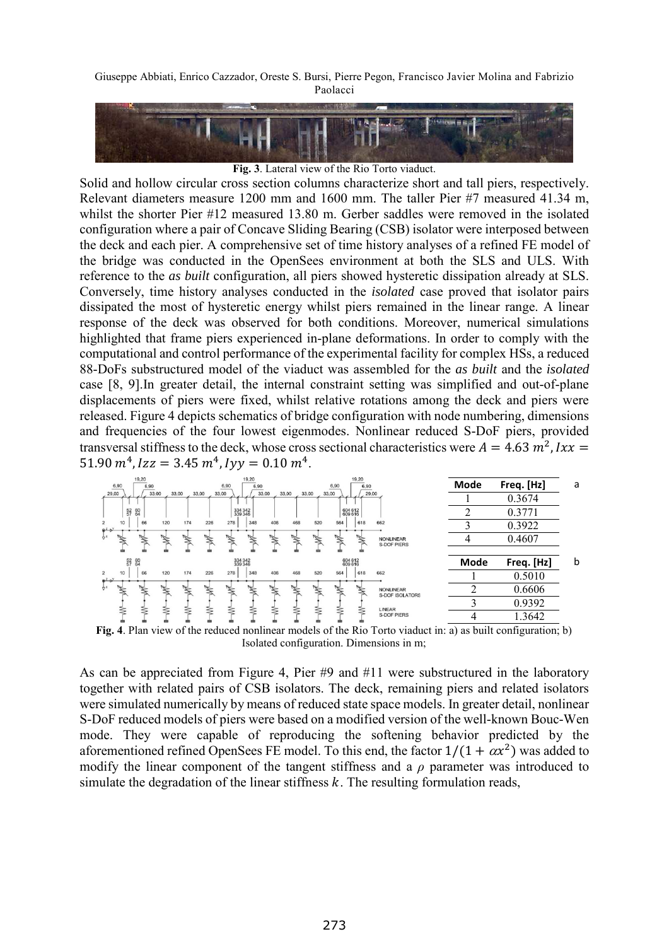

**Fig. 3**. Lateral view of the Rio Torto viaduct.

Solid and hollow circular cross section columns characterize short and tall piers, respectively. Relevant diameters measure 1200 mm and 1600 mm. The taller Pier #7 measured 41.34 m, whilst the shorter Pier #12 measured 13.80 m. Gerber saddles were removed in the isolated configuration where a pair of Concave Sliding Bearing (CSB) isolator were interposed between the deck and each pier. A comprehensive set of time history analyses of a refined FE model of the bridge was conducted in the OpenSees environment at both the SLS and ULS. With reference to the *as built* configuration, all piers showed hysteretic dissipation already at SLS. Conversely, time history analyses conducted in the *isolated* case proved that isolator pairs dissipated the most of hysteretic energy whilst piers remained in the linear range. A linear response of the deck was observed for both conditions. Moreover, numerical simulations highlighted that frame piers experienced in-plane deformations. In order to comply with the computational and control performance of the experimental facility for complex HSs, a reduced 88-DoFs substructured model of the viaduct was assembled for the *as built* and the *isolated* case [8, 9].In greater detail, the internal constraint setting was simplified and out-of-plane displacements of piers were fixed, whilst relative rotations among the deck and piers were released. Figure 4 depicts schematics of bridge configuration with node numbering, dimensions and frequencies of the four lowest eigenmodes. Nonlinear reduced S-DoF piers, provided transversal stiffness to the deck, whose cross sectional characteristics were  $A = 4.63 m^2$ ,  $Ix =$  $51.90 \, m^4$ ,  $Izz = 3.45 \, m^4$ ,  $Iyy = 0.10 \, m^4$ .



**Fig. 4**. Plan view of the reduced nonlinear models of the Rio Torto viaduct in: a) as built configuration; b) Isolated configuration. Dimensions in m;

As can be appreciated from Figure 4, Pier #9 and #11 were substructured in the laboratory together with related pairs of CSB isolators. The deck, remaining piers and related isolators were simulated numerically by means of reduced state space models. In greater detail, nonlinear S-DoF reduced models of piers were based on a modified version of the well-known Bouc-Wen mode. They were capable of reproducing the softening behavior predicted by the aforementioned refined OpenSees FE model. To this end, the factor  $1/(1 + \alpha x^2)$  was added to modify the linear component of the tangent stiffness and a *ρ* parameter was introduced to simulate the degradation of the linear stiffness  $k$ . The resulting formulation reads,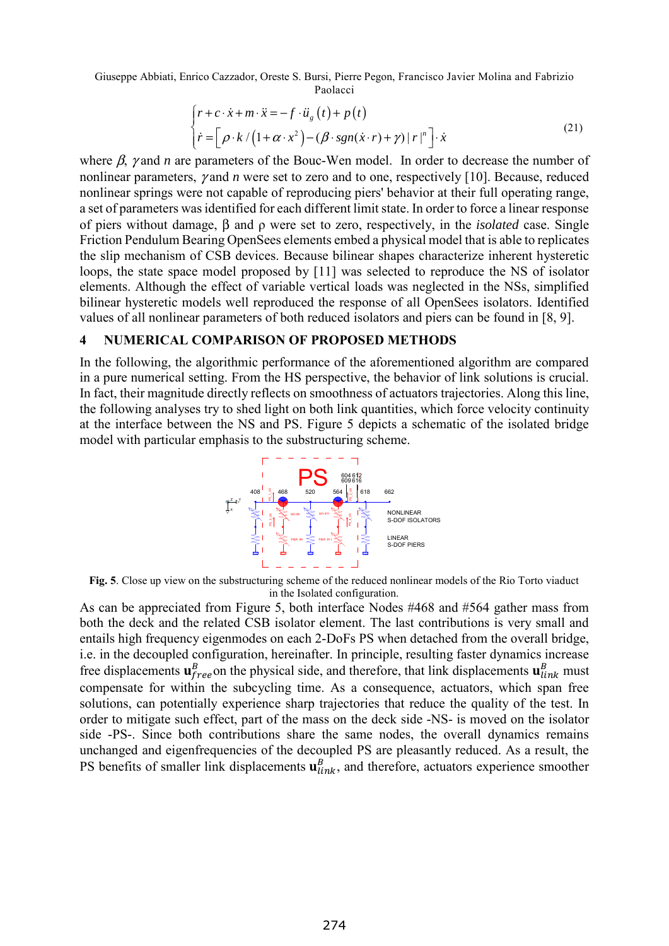$$
\begin{cases}\nr + c \cdot \dot{x} + m \cdot \ddot{x} = -f \cdot \ddot{u}_g(t) + p(t) \\
\dot{r} = \left[\rho \cdot k / \left(1 + \alpha \cdot x^2\right) - \left(\beta \cdot sgn(\dot{x} \cdot r) + \gamma\right) |r|^n\right] \cdot \dot{x}\n\end{cases}
$$
\n(21)

where  $\beta$ ,  $\gamma$  and *n* are parameters of the Bouc-Wen model. In order to decrease the number of nonlinear parameters, γ and *n* were set to zero and to one, respectively [10]. Because, reduced nonlinear springs were not capable of reproducing piers' behavior at their full operating range, a set of parameters was identified for each different limit state. In order to force a linear response of piers without damage, β and ρ were set to zero, respectively, in the *isolated* case. Single Friction Pendulum Bearing OpenSees elements embed a physical model that is able to replicates the slip mechanism of CSB devices. Because bilinear shapes characterize inherent hysteretic loops, the state space model proposed by [11] was selected to reproduce the NS of isolator elements. Although the effect of variable vertical loads was neglected in the NSs, simplified bilinear hysteretic models well reproduced the response of all OpenSees isolators. Identified values of all nonlinear parameters of both reduced isolators and piers can be found in [8, 9].

#### **4 NUMERICAL COMPARISON OF PROPOSED METHODS**

In the following, the algorithmic performance of the aforementioned algorithm are compared in a pure numerical setting. From the HS perspective, the behavior of link solutions is crucial. In fact, their magnitude directly reflects on smoothness of actuators trajectories. Along this line, the following analyses try to shed light on both link quantities, which force velocity continuity at the interface between the NS and PS. Figure 5 depicts a schematic of the isolated bridge model with particular emphasis to the substructuring scheme.



**Fig. 5**. Close up view on the substructuring scheme of the reduced nonlinear models of the Rio Torto viaduct in the Isolated configuration.

As can be appreciated from Figure 5, both interface Nodes #468 and #564 gather mass from both the deck and the related CSB isolator element. The last contributions is very small and entails high frequency eigenmodes on each 2-DoFs PS when detached from the overall bridge, i.e. in the decoupled configuration, hereinafter. In principle, resulting faster dynamics increase free displacements  $\mathbf{u}_{free}^B$  on the physical side, and therefore, that link displacements  $\mathbf{u}_{link}^B$  must compensate for within the subcycling time. As a consequence, actuators, which span free solutions, can potentially experience sharp trajectories that reduce the quality of the test. In order to mitigate such effect, part of the mass on the deck side -NS- is moved on the isolator side -PS-. Since both contributions share the same nodes, the overall dynamics remains unchanged and eigenfrequencies of the decoupled PS are pleasantly reduced. As a result, the PS benefits of smaller link displacements  $\mathbf{u}_{link}^B$ , and therefore, actuators experience smoother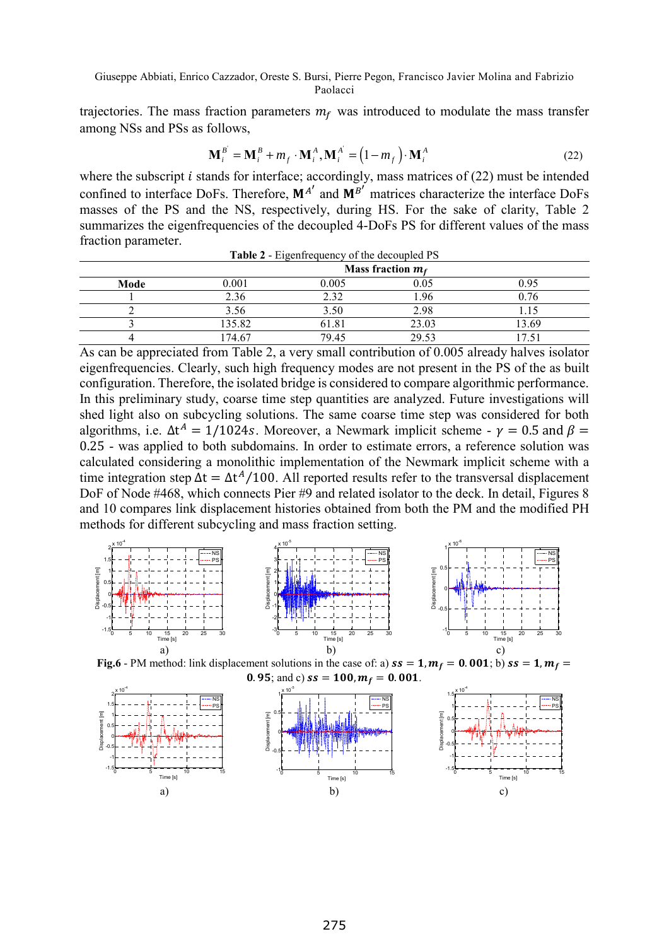trajectories. The mass fraction parameters  $m_f$  was introduced to modulate the mass transfer among NSs and PSs as follows,

$$
\mathbf{M}_i^B = \mathbf{M}_i^B + m_f \cdot \mathbf{M}_i^A, \mathbf{M}_i^A = (1 - m_f) \cdot \mathbf{M}_i^A
$$
 (22)

where the subscript  $i$  stands for interface; accordingly, mass matrices of (22) must be intended confined to interface DoFs. Therefore,  $M^{A'}$  and  $M^{B'}$  matrices characterize the interface DoFs masses of the PS and the NS, respectively, during HS. For the sake of clarity, Table 2 summarizes the eigenfrequencies of the decoupled 4-DoFs PS for different values of the mass fraction parameter.

| Table 2 - Eigenfrequency of the decoupled PS |        |                     |       |       |  |
|----------------------------------------------|--------|---------------------|-------|-------|--|
|                                              |        | Mass fraction $m_f$ |       |       |  |
| Mode                                         | 0.001  | 0.005               | 0.05  | 0.95  |  |
|                                              | 2.36   | 2.32                | 1.96  | 0.76  |  |
|                                              | 3.56   | 3.50                | 2.98  |       |  |
|                                              | 135.82 | 61.81               | 23.03 | 13.69 |  |
|                                              | 174.67 | 79.45               | 29.53 |       |  |

As can be appreciated from Table 2, a very small contribution of 0.005 already halves isolator eigenfrequencies. Clearly, such high frequency modes are not present in the PS of the as built configuration. Therefore, the isolated bridge is considered to compare algorithmic performance. In this preliminary study, coarse time step quantities are analyzed. Future investigations will shed light also on subcycling solutions. The same coarse time step was considered for both algorithms, i.e.  $\Delta t^A = 1/1024s$ . Moreover, a Newmark implicit scheme -  $\nu = 0.5$  and  $\beta =$ 0.25 - was applied to both subdomains. In order to estimate errors, a reference solution was calculated considering a monolithic implementation of the Newmark implicit scheme with a time integration step  $\Delta t = \Delta t^A/100$ . All reported results refer to the transversal displacement DoF of Node #468, which connects Pier #9 and related isolator to the deck. In detail, Figures 8 and 10 compares link displacement histories obtained from both the PM and the modified PH methods for different subcycling and mass fraction setting.



**Fig.6** - PM method: link displacement solutions in the case of: a)  $ss = 1$ ,  $m_f = 0.001$ ; b)  $ss = 1$ ,  $m_f =$ 

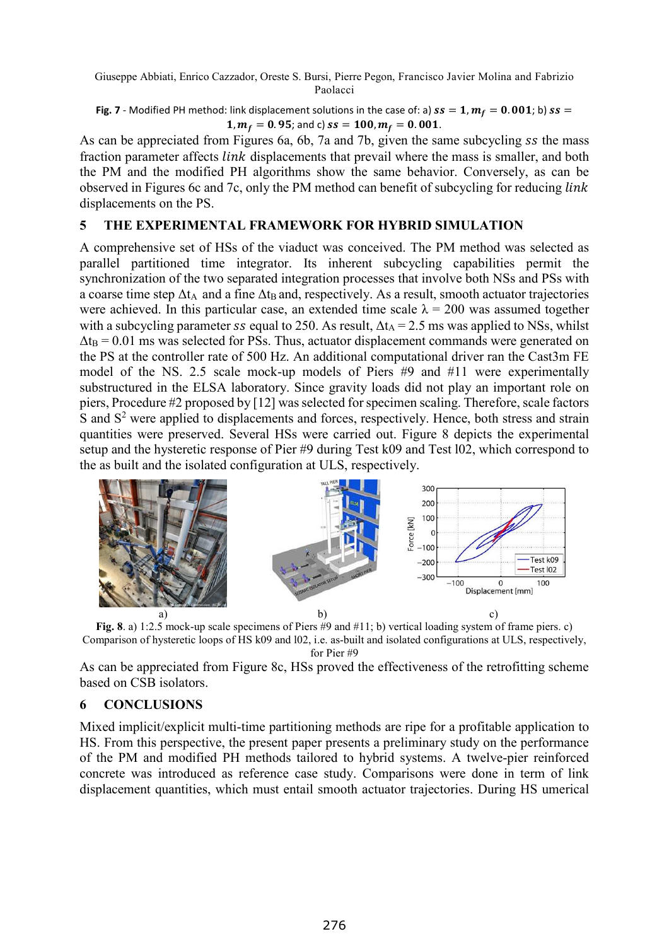#### **Fig. 7** - Modified PH method: link displacement solutions in the case of: a)  $ss = 1$ ,  $m_f = 0.001$ ; b)  $ss =$ 1,  $m_f = 0.95$ ; and c)  $ss = 100$ ,  $m_f = 0.001$ .

As can be appreciated from Figures 6a, 6b, 7a and 7b, given the same subcycling ss the mass fraction parameter affects *link* displacements that prevail where the mass is smaller, and both the PM and the modified PH algorithms show the same behavior. Conversely, as can be observed in Figures 6c and 7c, only the PM method can benefit of subcycling for reducing displacements on the PS.

## **5 THE EXPERIMENTAL FRAMEWORK FOR HYBRID SIMULATION**

A comprehensive set of HSs of the viaduct was conceived. The PM method was selected as parallel partitioned time integrator. Its inherent subcycling capabilities permit the synchronization of the two separated integration processes that involve both NSs and PSs with a coarse time step  $\Delta t_A$  and a fine  $\Delta t_B$  and, respectively. As a result, smooth actuator trajectories were achieved. In this particular case, an extended time scale  $\lambda = 200$  was assumed together with a subcycling parameter *ss* equal to 250. As result,  $\Delta t_A = 2.5$  ms was applied to NSs, whilst  $\Delta t_B = 0.01$  ms was selected for PSs. Thus, actuator displacement commands were generated on the PS at the controller rate of 500 Hz. An additional computational driver ran the Cast3m FE model of the NS. 2.5 scale mock-up models of Piers #9 and #11 were experimentally substructured in the ELSA laboratory. Since gravity loads did not play an important role on piers, Procedure #2 proposed by [12] was selected for specimen scaling. Therefore, scale factors S and S<sup>2</sup> were applied to displacements and forces, respectively. Hence, both stress and strain quantities were preserved. Several HSs were carried out. Figure 8 depicts the experimental setup and the hysteretic response of Pier #9 during Test k09 and Test l02, which correspond to the as built and the isolated configuration at ULS, respectively.



**Fig. 8**. a) 1:2.5 mock-up scale specimens of Piers #9 and #11; b) vertical loading system of frame piers. c) Comparison of hysteretic loops of HS k09 and l02, i.e. as-built and isolated configurations at ULS, respectively, for Pier #9

As can be appreciated from Figure 8c, HSs proved the effectiveness of the retrofitting scheme based on CSB isolators.

## **6 CONCLUSIONS**

Mixed implicit/explicit multi-time partitioning methods are ripe for a profitable application to HS. From this perspective, the present paper presents a preliminary study on the performance of the PM and modified PH methods tailored to hybrid systems. A twelve-pier reinforced concrete was introduced as reference case study. Comparisons were done in term of link displacement quantities, which must entail smooth actuator trajectories. During HS umerical